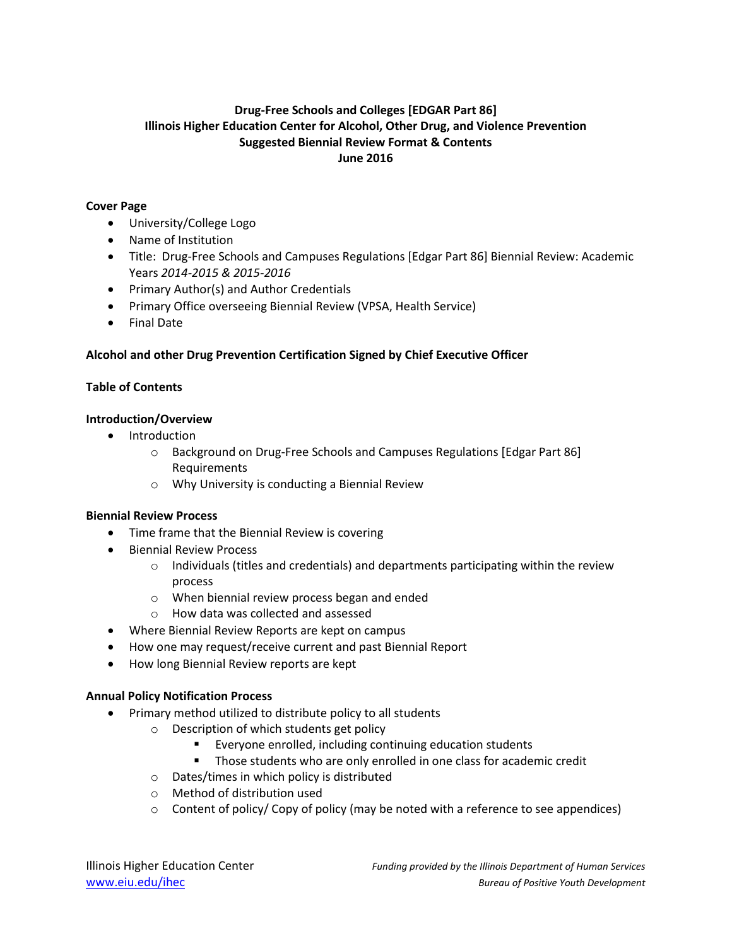# **Drug-Free Schools and Colleges [EDGAR Part 86] Illinois Higher Education Center for Alcohol, Other Drug, and Violence Prevention Suggested Biennial Review Format & Contents June 2016**

#### **Cover Page**

- University/College Logo
- Name of Institution
- Title: Drug-Free Schools and Campuses Regulations [Edgar Part 86] Biennial Review: Academic Years *2014-2015 & 2015-2016*
- Primary Author(s) and Author Credentials
- Primary Office overseeing Biennial Review (VPSA, Health Service)
- Final Date

## **Alcohol and other Drug Prevention Certification Signed by Chief Executive Officer**

#### **Table of Contents**

#### **Introduction/Overview**

- Introduction
	- o Background on Drug-Free Schools and Campuses Regulations [Edgar Part 86] Requirements
	- o Why University is conducting a Biennial Review

#### **Biennial Review Process**

- Time frame that the Biennial Review is covering
- **•** Biennial Review Process
	- $\circ$  Individuals (titles and credentials) and departments participating within the review process
	- o When biennial review process began and ended
	- o How data was collected and assessed
- Where Biennial Review Reports are kept on campus
- How one may request/receive current and past Biennial Report
- How long Biennial Review reports are kept

#### **Annual Policy Notification Process**

- Primary method utilized to distribute policy to all students
	- o Description of which students get policy
		- Everyone enrolled, including continuing education students
		- Those students who are only enrolled in one class for academic credit
	- o Dates/times in which policy is distributed
	- o Method of distribution used
	- $\circ$  Content of policy/ Copy of policy (may be noted with a reference to see appendices)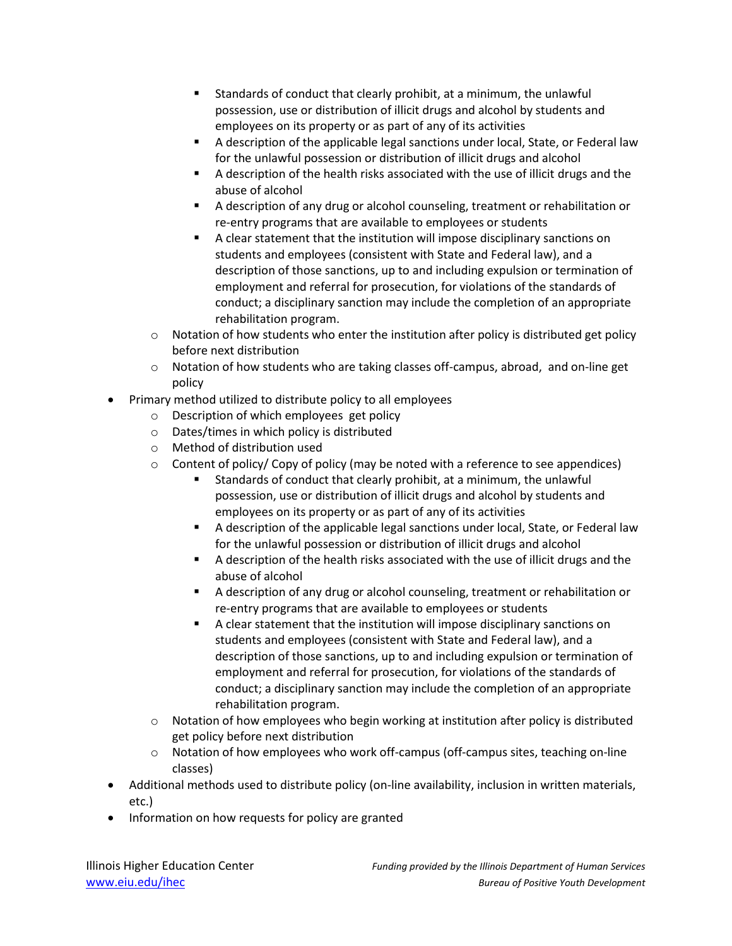- Standards of conduct that clearly prohibit, at a minimum, the unlawful possession, use or distribution of illicit drugs and alcohol by students and employees on its property or as part of any of its activities
- A description of the applicable legal sanctions under local, State, or Federal law for the unlawful possession or distribution of illicit drugs and alcohol
- A description of the health risks associated with the use of illicit drugs and the abuse of alcohol
- A description of any drug or alcohol counseling, treatment or rehabilitation or re-entry programs that are available to employees or students
- A clear statement that the institution will impose disciplinary sanctions on students and employees (consistent with State and Federal law), and a description of those sanctions, up to and including expulsion or termination of employment and referral for prosecution, for violations of the standards of conduct; a disciplinary sanction may include the completion of an appropriate rehabilitation program.
- $\circ$  Notation of how students who enter the institution after policy is distributed get policy before next distribution
- o Notation of how students who are taking classes off-campus, abroad, and on-line get policy
- Primary method utilized to distribute policy to all employees
	- o Description of which employees get policy
	- o Dates/times in which policy is distributed
	- o Method of distribution used
	- $\circ$  Content of policy/ Copy of policy (may be noted with a reference to see appendices)
		- Standards of conduct that clearly prohibit, at a minimum, the unlawful possession, use or distribution of illicit drugs and alcohol by students and employees on its property or as part of any of its activities
		- A description of the applicable legal sanctions under local, State, or Federal law for the unlawful possession or distribution of illicit drugs and alcohol
		- A description of the health risks associated with the use of illicit drugs and the abuse of alcohol
		- A description of any drug or alcohol counseling, treatment or rehabilitation or re-entry programs that are available to employees or students
		- A clear statement that the institution will impose disciplinary sanctions on students and employees (consistent with State and Federal law), and a description of those sanctions, up to and including expulsion or termination of employment and referral for prosecution, for violations of the standards of conduct; a disciplinary sanction may include the completion of an appropriate rehabilitation program.
	- $\circ$  Notation of how employees who begin working at institution after policy is distributed get policy before next distribution
	- $\circ$  Notation of how employees who work off-campus (off-campus sites, teaching on-line classes)
- Additional methods used to distribute policy (on-line availability, inclusion in written materials, etc.)
- Information on how requests for policy are granted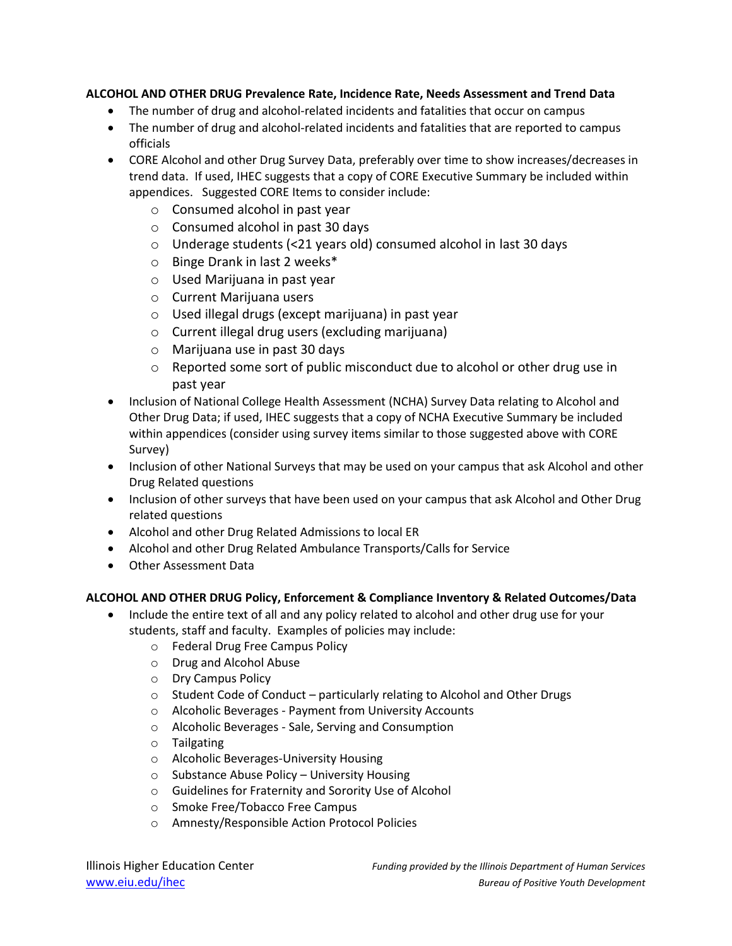## **ALCOHOL AND OTHER DRUG Prevalence Rate, Incidence Rate, Needs Assessment and Trend Data**

- The number of drug and alcohol-related incidents and fatalities that occur on campus
- The number of drug and alcohol-related incidents and fatalities that are reported to campus officials
- CORE Alcohol and other Drug Survey Data, preferably over time to show increases/decreases in trend data. If used, IHEC suggests that a copy of CORE Executive Summary be included within appendices. Suggested CORE Items to consider include:
	- o Consumed alcohol in past year
	- o Consumed alcohol in past 30 days
	- o Underage students (<21 years old) consumed alcohol in last 30 days
	- o Binge Drank in last 2 weeks\*
	- o Used Marijuana in past year
	- o Current Marijuana users
	- o Used illegal drugs (except marijuana) in past year
	- o Current illegal drug users (excluding marijuana)
	- o Marijuana use in past 30 days
	- o Reported some sort of public misconduct due to alcohol or other drug use in past year
- Inclusion of National College Health Assessment (NCHA) Survey Data relating to Alcohol and Other Drug Data; if used, IHEC suggests that a copy of NCHA Executive Summary be included within appendices (consider using survey items similar to those suggested above with CORE Survey)
- Inclusion of other National Surveys that may be used on your campus that ask Alcohol and other Drug Related questions
- Inclusion of other surveys that have been used on your campus that ask Alcohol and Other Drug related questions
- Alcohol and other Drug Related Admissions to local ER
- Alcohol and other Drug Related Ambulance Transports/Calls for Service
- Other Assessment Data

## **ALCOHOL AND OTHER DRUG Policy, Enforcement & Compliance Inventory & Related Outcomes/Data**

- Include the entire text of all and any policy related to alcohol and other drug use for your students, staff and faculty. Examples of policies may include:
	- o Federal Drug Free Campus Policy
	- o Drug and Alcohol Abuse
	- o Dry Campus Policy
	- o Student Code of Conduct particularly relating to Alcohol and Other Drugs
	- o Alcoholic Beverages Payment from University Accounts
	- o Alcoholic Beverages Sale, Serving and Consumption
	- o Tailgating
	- o Alcoholic Beverages-University Housing
	- o Substance Abuse Policy University Housing
	- o Guidelines for Fraternity and Sorority Use of Alcohol
	- o Smoke Free/Tobacco Free Campus
	- o Amnesty/Responsible Action Protocol Policies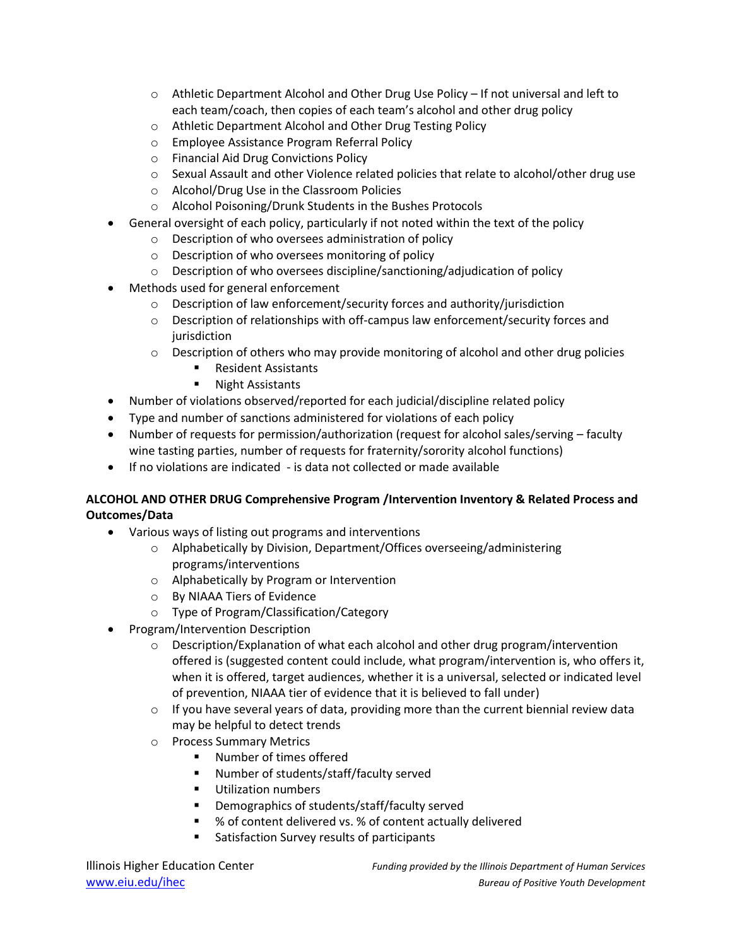- $\circ$  Athletic Department Alcohol and Other Drug Use Policy If not universal and left to each team/coach, then copies of each team's alcohol and other drug policy
- o Athletic Department Alcohol and Other Drug Testing Policy
- o Employee Assistance Program Referral Policy
- o Financial Aid Drug Convictions Policy
- $\circ$  Sexual Assault and other Violence related policies that relate to alcohol/other drug use
- o Alcohol/Drug Use in the Classroom Policies
- o Alcohol Poisoning/Drunk Students in the Bushes Protocols
- General oversight of each policy, particularly if not noted within the text of the policy
	- o Description of who oversees administration of policy
	- o Description of who oversees monitoring of policy
	- o Description of who oversees discipline/sanctioning/adjudication of policy
- Methods used for general enforcement
	- o Description of law enforcement/security forces and authority/jurisdiction
	- o Description of relationships with off-campus law enforcement/security forces and jurisdiction
	- $\circ$  Description of others who may provide monitoring of alcohol and other drug policies
		- Resident Assistants
		- **Night Assistants**
- Number of violations observed/reported for each judicial/discipline related policy
- Type and number of sanctions administered for violations of each policy
- Number of requests for permission/authorization (request for alcohol sales/serving faculty wine tasting parties, number of requests for fraternity/sorority alcohol functions)
- If no violations are indicated is data not collected or made available

## **ALCOHOL AND OTHER DRUG Comprehensive Program /Intervention Inventory & Related Process and Outcomes/Data**

- Various ways of listing out programs and interventions
	- o Alphabetically by Division, Department/Offices overseeing/administering programs/interventions
	- o Alphabetically by Program or Intervention
	- o By NIAAA Tiers of Evidence
	- o Type of Program/Classification/Category
- Program/Intervention Description
	- $\circ$  Description/Explanation of what each alcohol and other drug program/intervention offered is (suggested content could include, what program/intervention is, who offers it, when it is offered, target audiences, whether it is a universal, selected or indicated level of prevention, NIAAA tier of evidence that it is believed to fall under)
	- $\circ$  If you have several years of data, providing more than the current biennial review data may be helpful to detect trends
	- o Process Summary Metrics
		- Number of times offered
		- Number of students/staff/faculty served
		- **Utilization numbers**
		- **•** Demographics of students/staff/faculty served
		- % of content delivered vs. % of content actually delivered
		- Satisfaction Survey results of participants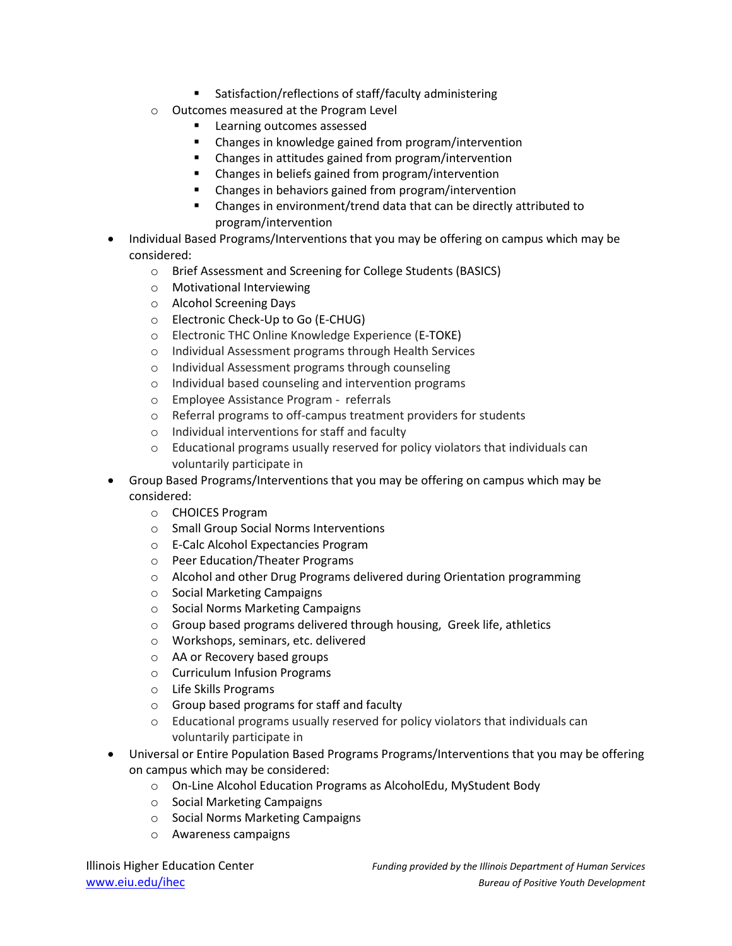- Satisfaction/reflections of staff/faculty administering
- o Outcomes measured at the Program Level
	- **Learning outcomes assessed**
	- Changes in knowledge gained from program/intervention
	- Changes in attitudes gained from program/intervention
	- Changes in beliefs gained from program/intervention
	- Changes in behaviors gained from program/intervention
	- Changes in environment/trend data that can be directly attributed to program/intervention
- Individual Based Programs/Interventions that you may be offering on campus which may be considered:
	- o Brief Assessment and Screening for College Students (BASICS)
	- o Motivational Interviewing
	- o Alcohol Screening Days
	- o Electronic Check-Up to Go (E-CHUG)
	- o Electronic THC Online Knowledge Experience (E-TOKE)
	- o Individual Assessment programs through Health Services
	- o Individual Assessment programs through counseling
	- o Individual based counseling and intervention programs
	- o Employee Assistance Program referrals
	- o Referral programs to off-campus treatment providers for students
	- o Individual interventions for staff and faculty
	- $\circ$  Educational programs usually reserved for policy violators that individuals can voluntarily participate in
- Group Based Programs/Interventions that you may be offering on campus which may be considered:
	- o CHOICES Program
	- o Small Group Social Norms Interventions
	- o E-Calc Alcohol Expectancies Program
	- o Peer Education/Theater Programs
	- o Alcohol and other Drug Programs delivered during Orientation programming
	- o Social Marketing Campaigns
	- o Social Norms Marketing Campaigns
	- o Group based programs delivered through housing, Greek life, athletics
	- o Workshops, seminars, etc. delivered
	- o AA or Recovery based groups
	- o Curriculum Infusion Programs
	- o Life Skills Programs
	- o Group based programs for staff and faculty
	- o Educational programs usually reserved for policy violators that individuals can voluntarily participate in
- Universal or Entire Population Based Programs Programs/Interventions that you may be offering on campus which may be considered:
	- o On-Line Alcohol Education Programs as AlcoholEdu, MyStudent Body
	- o Social Marketing Campaigns
	- o Social Norms Marketing Campaigns
	- o Awareness campaigns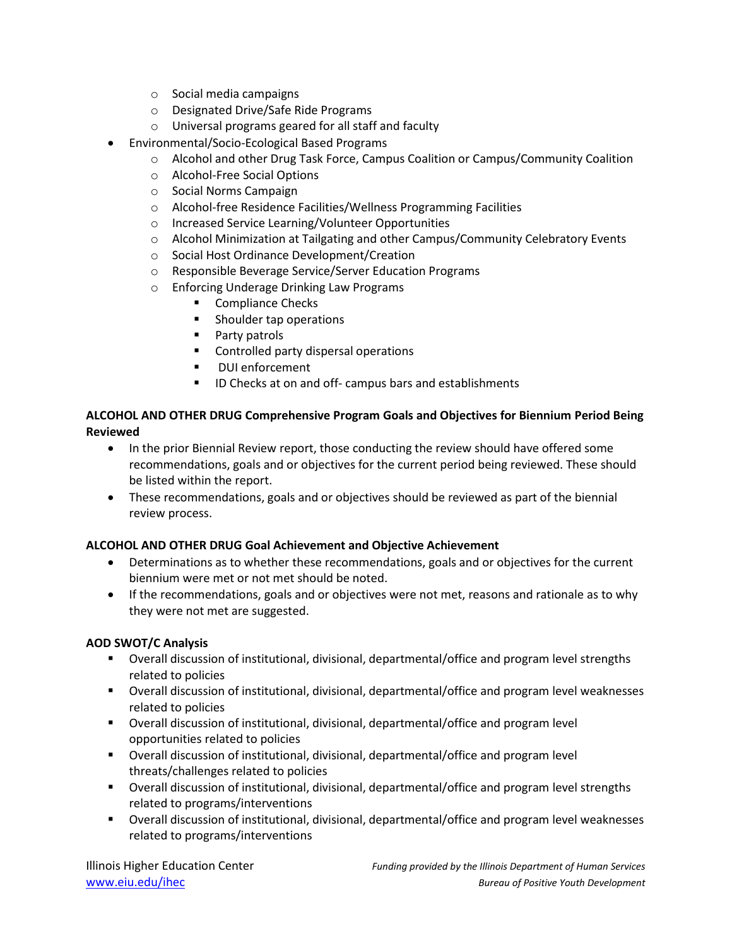- o Social media campaigns
- o Designated Drive/Safe Ride Programs
- o Universal programs geared for all staff and faculty
- Environmental/Socio-Ecological Based Programs
	- o Alcohol and other Drug Task Force, Campus Coalition or Campus/Community Coalition
	- o Alcohol-Free Social Options
	- o Social Norms Campaign
	- o Alcohol-free Residence Facilities/Wellness Programming Facilities
	- o Increased Service Learning/Volunteer Opportunities
	- $\circ$  Alcohol Minimization at Tailgating and other Campus/Community Celebratory Events
	- o Social Host Ordinance Development/Creation
	- o Responsible Beverage Service/Server Education Programs
	- o Enforcing Underage Drinking Law Programs
		- Compliance Checks
		- **Shoulder tap operations**
		- **Party patrols**
		- **EXECONDED CONTROL** Controlled party dispersal operations
		- **•** DUI enforcement
		- **ID Checks at on and off- campus bars and establishments**

## **ALCOHOL AND OTHER DRUG Comprehensive Program Goals and Objectives for Biennium Period Being Reviewed**

- In the prior Biennial Review report, those conducting the review should have offered some recommendations, goals and or objectives for the current period being reviewed. These should be listed within the report.
- These recommendations, goals and or objectives should be reviewed as part of the biennial review process.

## **ALCOHOL AND OTHER DRUG Goal Achievement and Objective Achievement**

- Determinations as to whether these recommendations, goals and or objectives for the current biennium were met or not met should be noted.
- If the recommendations, goals and or objectives were not met, reasons and rationale as to why they were not met are suggested.

## **AOD SWOT/C Analysis**

- Overall discussion of institutional, divisional, departmental/office and program level strengths related to policies
- Overall discussion of institutional, divisional, departmental/office and program level weaknesses related to policies
- Overall discussion of institutional, divisional, departmental/office and program level opportunities related to policies
- Overall discussion of institutional, divisional, departmental/office and program level threats/challenges related to policies
- Overall discussion of institutional, divisional, departmental/office and program level strengths related to programs/interventions
- Overall discussion of institutional, divisional, departmental/office and program level weaknesses related to programs/interventions